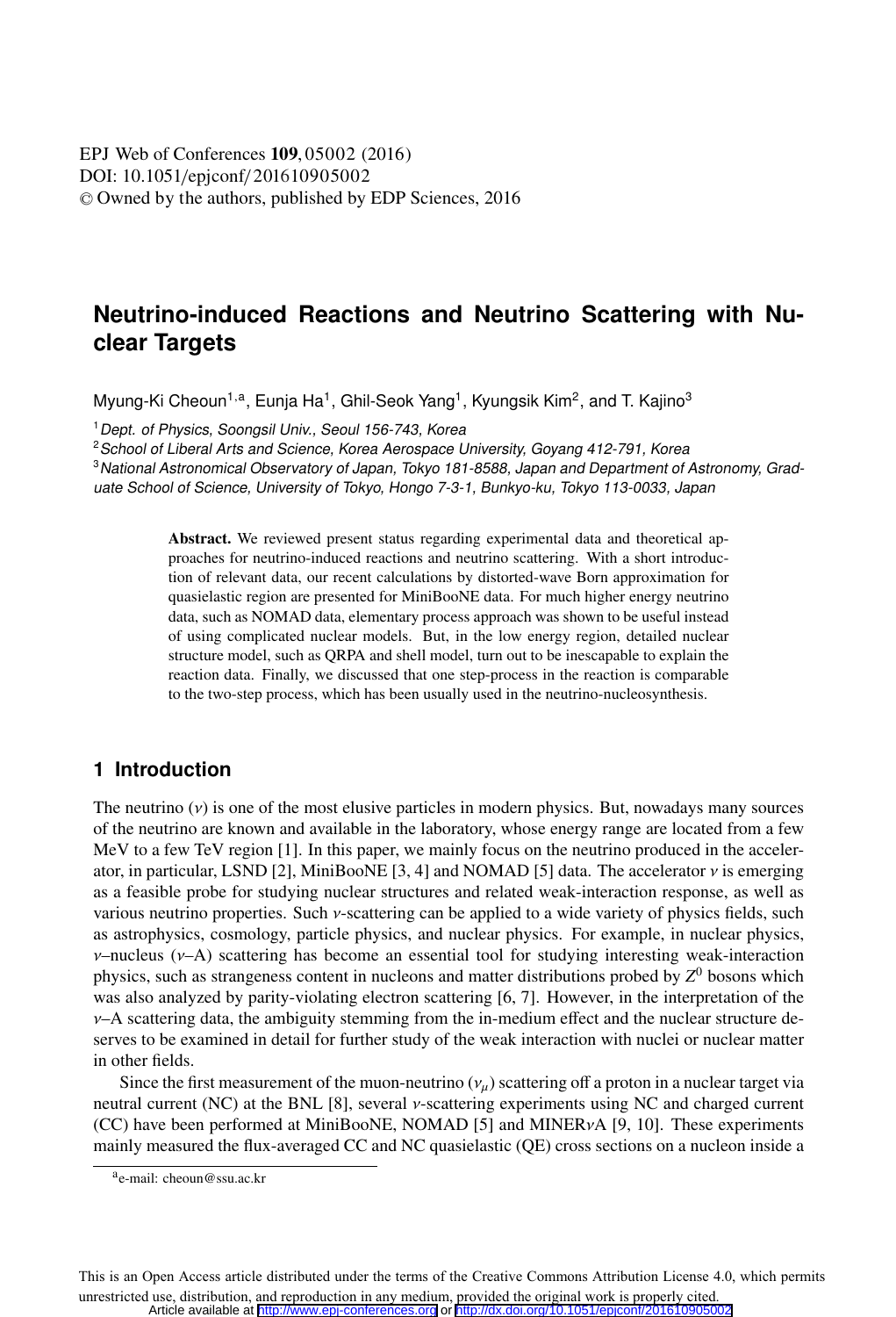DOI: 10.1051/epjconf/201610905002 © Owned by the authors, published by EDP Sciences, 2016 **EPJ** Web of Conferences **109**, 05002 (2016)

# **Neutrino-induced Reactions and Neutrino Scattering with Nuclear Targets**

Myung-Ki Cheoun<sup>1,a</sup>, Eunja Ha<sup>1</sup>, Ghil-Seok Yang<sup>1</sup>, Kyungsik Kim<sup>2</sup>, and T. Kajino<sup>3</sup>

<sup>1</sup> Dept. of Physics, Soongsil Univ., Seoul 156-743, Korea

<sup>2</sup> School of Liberal Arts and Science, Korea Aerospace University, Goyang 412-791, Korea

<sup>3</sup>National Astronomical Observatory of Japan, Tokyo 181-8588, Japan and Department of Astronomy, Graduate School of Science, University of Tokyo, Hongo 7-3-1, Bunkyo-ku, Tokyo 113-0033, Japan

> Abstract. We reviewed present status regarding experimental data and theoretical approaches for neutrino-induced reactions and neutrino scattering. With a short introduction of relevant data, our recent calculations by distorted-wave Born approximation for quasielastic region are presented for MiniBooNE data. For much higher energy neutrino data, such as NOMAD data, elementary process approach was shown to be useful instead of using complicated nuclear models. But, in the low energy region, detailed nuclear structure model, such as QRPA and shell model, turn out to be inescapable to explain the reaction data. Finally, we discussed that one step-process in the reaction is comparable to the two-step process, which has been usually used in the neutrino-nucleosynthesis.

# **1 Introduction**

The neutrino  $(v)$  is one of the most elusive particles in modern physics. But, nowadays many sources of the neutrino are known and available in the laboratory, whose energy range are located from a few MeV to a few TeV region [1]. In this paper, we mainly focus on the neutrino produced in the accelerator, in particular, LSND [2], MiniBooNE [3, 4] and NOMAD [5] data. The accelerator ν is emerging as a feasible probe for studying nuclear structures and related weak-interaction response, as well as various neutrino properties. Such  $\nu$ -scattering can be applied to a wide variety of physics fields, such as astrophysics, cosmology, particle physics, and nuclear physics. For example, in nuclear physics,  $v$ –nucleus ( $v$ –A) scattering has become an essential tool for studying interesting weak-interaction physics, such as strangeness content in nucleons and matter distributions probed by *Z*<sup>0</sup> bosons which was also analyzed by parity-violating electron scattering [6, 7]. However, in the interpretation of the  $\nu$ –A scattering data, the ambiguity stemming from the in-medium effect and the nuclear structure deserves to be examined in detail for further study of the weak interaction with nuclei or nuclear matter in other fields.

Since the first measurement of the muon-neutrino  $(v_\mu)$  scattering off a proton in a nuclear target via neutral current (NC) at the BNL [8], several ν-scattering experiments using NC and charged current (CC) have been performed at MiniBooNE, NOMAD [5] and MINERνA [9, 10]. These experiments mainly measured the flux-averaged CC and NC quasielastic (QE) cross sections on a nucleon inside a

This is an Open Access article distributed under the terms of the Creative Commons Attribution License 4.0, which permits unrestricted use, distribution, and reproduction in any medium, provided the original work is properly cited. Article available at <http://www.epj-conferences.org> or <http://dx.doi.org/10.1051/epjconf/201610905002>

a<sub>e-mail: cheoun@ssu.ac.kr</sub>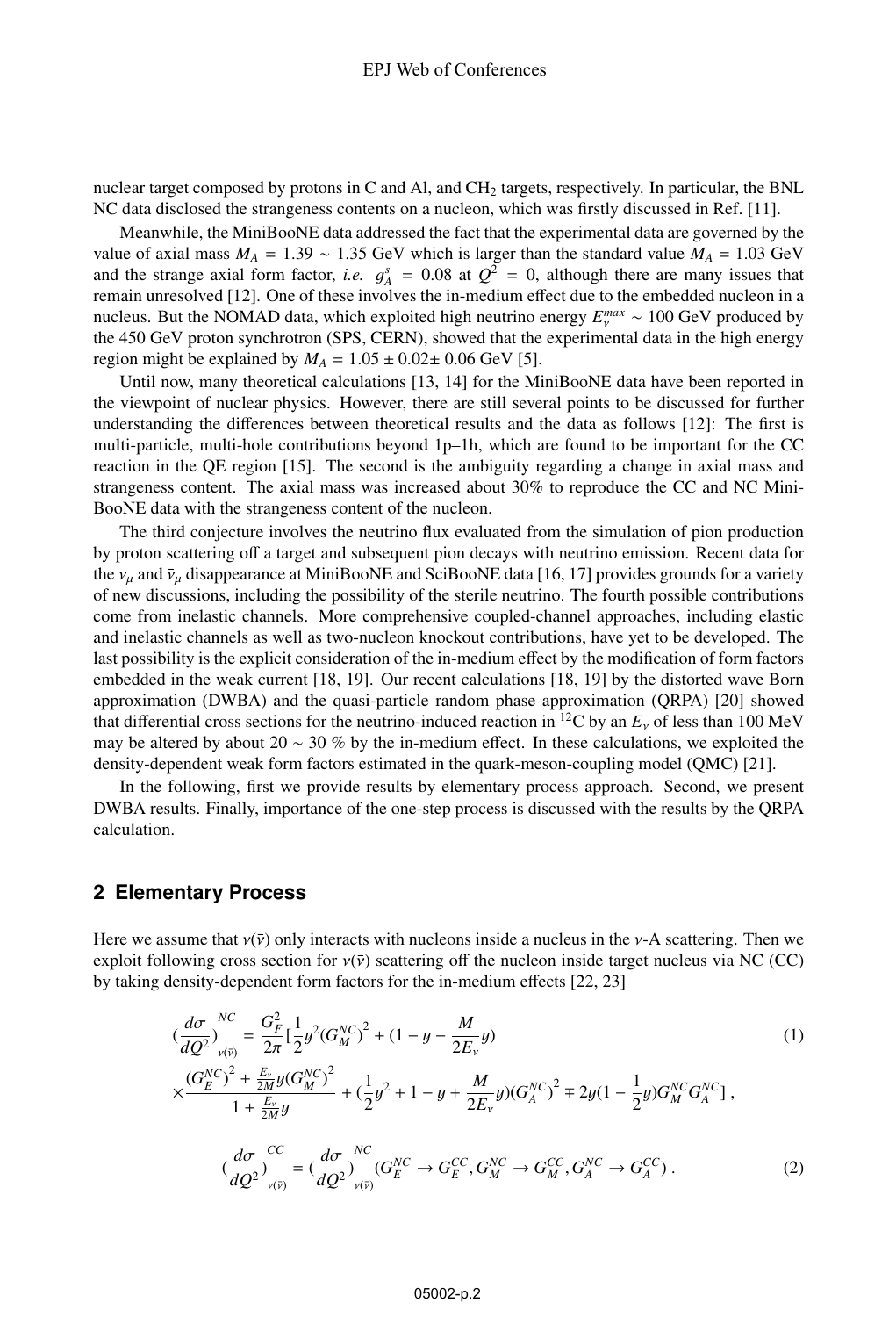nuclear target composed by protons in C and Al, and CH<sub>2</sub> targets, respectively. In particular, the BNL NC data disclosed the strangeness contents on a nucleon, which was firstly discussed in Ref. [11].

Meanwhile, the MiniBooNE data addressed the fact that the experimental data are governed by the value of axial mass  $M_A = 1.39 \sim 1.35$  GeV which is larger than the standard value  $M_A = 1.03$  GeV and the strange axial form factor, *i.e.*  $g_A^s = 0.08$  at  $Q^2 = 0$ , although there are many issues that remain unresolved [12]. One of these involves the in-medium effect due to the embedded nucleon in a remain unresolved [12]. One of these involves the in-medium effect due to the embedded nucleon in a nucleus. But the NOMAD data, which exploited high neutrino energy  $E_{\gamma}^{max} \sim 100 \text{ GeV}$  produced by the 450 GeV produced by the 450 GeV produced by the 450 GeV proton synchrotron (SPS, CERN), showed that the experimental data in the high energy region might be explained by  $M_A = 1.05 \pm 0.02 \pm 0.06$  GeV [5].

Until now, many theoretical calculations [13, 14] for the MiniBooNE data have been reported in the viewpoint of nuclear physics. However, there are still several points to be discussed for further understanding the differences between theoretical results and the data as follows [12]: The first is multi-particle, multi-hole contributions beyond 1p–1h, which are found to be important for the CC reaction in the QE region [15]. The second is the ambiguity regarding a change in axial mass and strangeness content. The axial mass was increased about 30% to reproduce the CC and NC Mini-BooNE data with the strangeness content of the nucleon.

The third conjecture involves the neutrino flux evaluated from the simulation of pion production by proton scattering off a target and subsequent pion decays with neutrino emission. Recent data for the  $v_\mu$  and  $\bar{v}_\mu$  disappearance at MiniBooNE and SciBooNE data [16, 17] provides grounds for a variety of new discussions, including the possibility of the sterile neutrino. The fourth possible contributions come from inelastic channels. More comprehensive coupled-channel approaches, including elastic and inelastic channels as well as two-nucleon knockout contributions, have yet to be developed. The last possibility is the explicit consideration of the in-medium effect by the modification of form factors embedded in the weak current [18, 19]. Our recent calculations [18, 19] by the distorted wave Born approximation (DWBA) and the quasi-particle random phase approximation (QRPA) [20] showed that differential cross sections for the neutrino-induced reaction in <sup>12</sup>C by an  $E<sub>v</sub>$  of less than 100 MeV may be altered by about 20 ∼ 30 % by the in-medium effect. In these calculations, we exploited the density-dependent weak form factors estimated in the quark-meson-coupling model (QMC) [21].

In the following, first we provide results by elementary process approach. Second, we present DWBA results. Finally, importance of the one-step process is discussed with the results by the QRPA calculation.

### **2 Elementary Process**

Here we assume that  $v(\bar{v})$  only interacts with nucleons inside a nucleus in the *v*-A scattering. Then we exploit following cross section for  $v(\bar{v})$  scattering off the nucleon inside target nucleus via NC (CC) by taking density-dependent form factors for the in-medium effects [22, 23]

$$
\left(\frac{d\sigma}{dQ^2}\right)_{v(\bar{v})}^{NC} = \frac{G_F^2}{2\pi} \left[\frac{1}{2}y^2(G_M^{NC})^2 + (1 - y - \frac{M}{2E_v}y)\right)
$$
\n
$$
\times \frac{(G_E^{NC})^2 + \frac{E_v}{2M}y(G_M^{NC})^2}{1 + \frac{E_v}{2M}y} + \left(\frac{1}{2}y^2 + 1 - y + \frac{M}{2E_v}y(G_A^{NC})^2\right) = 2y(1 - \frac{1}{2}y)G_M^{NC}G_A^{NC}\right],
$$
\n
$$
\left(\frac{d\sigma}{dQ^2}\right)_{v(\bar{v})}^{CC} = \left(\frac{d\sigma}{dQ^2}\right)_{v(\bar{v})}^{NC}(G_E^{NC} \to G_E^{CC}, G_M^{NC} \to G_M^{CC}, G_A^{NC} \to G_A^{CC})
$$
\n
$$
(2)
$$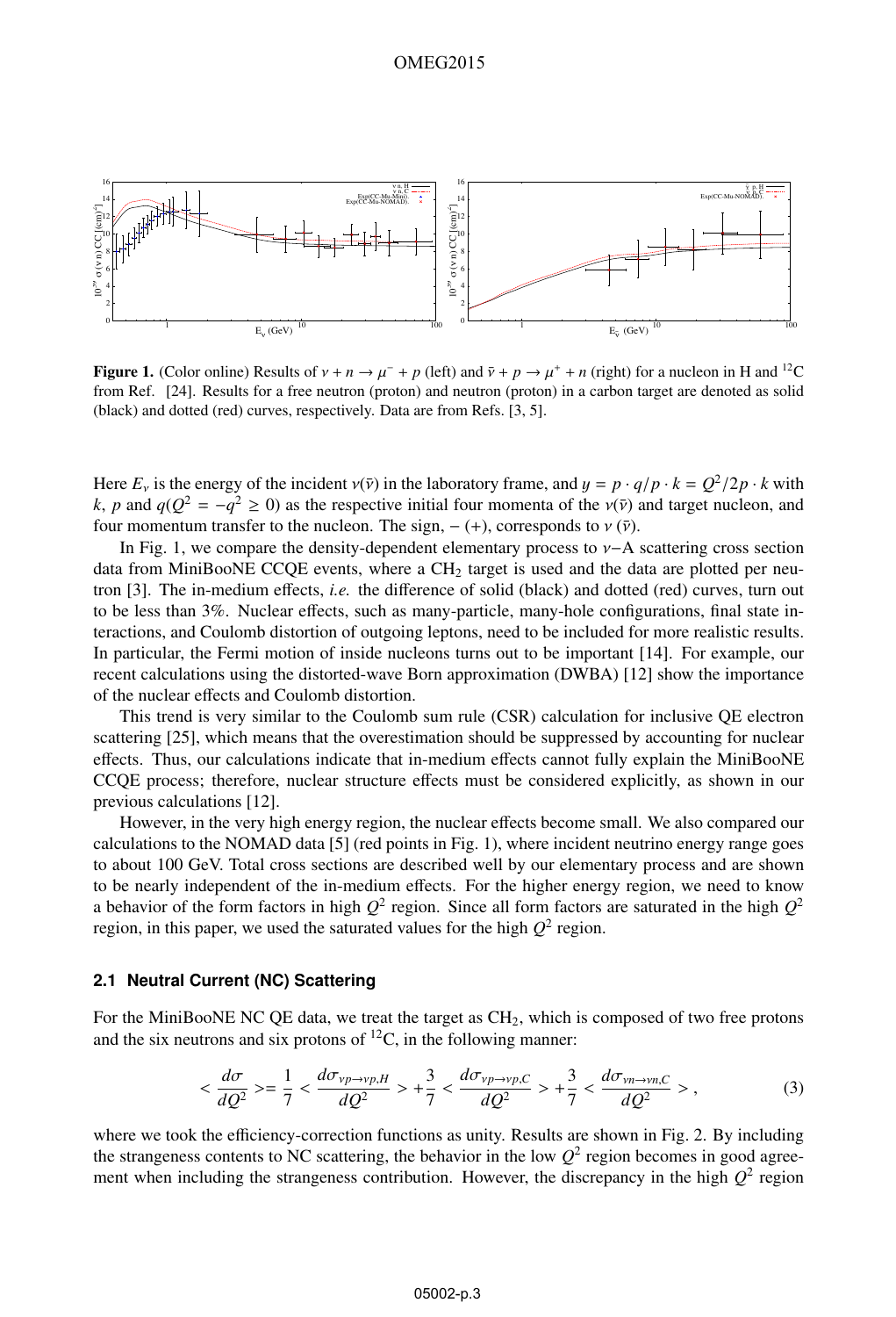

Figure 1. (Color online) Results of  $v + n \rightarrow \mu^- + p$  (left) and  $\bar{v} + p \rightarrow \mu^+ + n$  (right) for a nucleon in H and <sup>12</sup>C from Ref. [24]. Results for a free neutron (proton) and neutron (proton) in a carbon target are denoted as solid (black) and dotted (red) curves, respectively. Data are from Refs. [3, 5].

Here  $E_v$  is the energy of the incident  $v(\bar{v})$  in the laboratory frame, and  $y = p \cdot q/p \cdot k = Q^2/2p \cdot k$  with *k*, *p* and  $q(Q^2 = -q^2 \ge 0)$  as the respective initial four momenta of the  $v(\bar{v})$  and target nucleon, and four momentum transfer to the nucleon. The sign,  $- (+)$ , corresponds to  $\nu(\bar{\nu})$ .

In Fig. 1, we compare the density-dependent elementary process to ν−A scattering cross section data from MiniBooNE CCQE events, where a  $CH<sub>2</sub>$  target is used and the data are plotted per neutron [3]. The in-medium effects, *i.e.* the difference of solid (black) and dotted (red) curves, turn out to be less than 3%. Nuclear effects, such as many-particle, many-hole configurations, final state interactions, and Coulomb distortion of outgoing leptons, need to be included for more realistic results. In particular, the Fermi motion of inside nucleons turns out to be important [14]. For example, our recent calculations using the distorted-wave Born approximation (DWBA) [12] show the importance of the nuclear effects and Coulomb distortion.

This trend is very similar to the Coulomb sum rule (CSR) calculation for inclusive QE electron scattering [25], which means that the overestimation should be suppressed by accounting for nuclear effects. Thus, our calculations indicate that in-medium effects cannot fully explain the MiniBooNE CCQE process; therefore, nuclear structure effects must be considered explicitly, as shown in our previous calculations [12].

However, in the very high energy region, the nuclear effects become small. We also compared our calculations to the NOMAD data [5] (red points in Fig. 1), where incident neutrino energy range goes to about 100 GeV. Total cross sections are described well by our elementary process and are shown to be nearly independent of the in-medium effects. For the higher energy region, we need to know a behavior of the form factors in high  $Q^2$  region. Since all form factors are saturated in the high  $Q^2$ region, in this paper, we used the saturated values for the high  $Q^2$  region.

#### **2.1 Neutral Current (NC) Scattering**

For the MiniBooNE NC QE data, we treat the target as  $CH<sub>2</sub>$ , which is composed of two free protons and the six neutrons and six protons of  ${}^{12}C$ , in the following manner:

$$
\langle \frac{d\sigma}{dQ^2} \rangle = \frac{1}{7} \langle \frac{d\sigma_{\nu p \to \nu p, H}}{dQ^2} \rangle + \frac{3}{7} \langle \frac{d\sigma_{\nu p \to \nu p, C}}{dQ^2} \rangle + \frac{3}{7} \langle \frac{d\sigma_{\nu n \to \nu n, C}}{dQ^2} \rangle, \tag{3}
$$

where we took the efficiency-correction functions as unity. Results are shown in Fig. 2. By including the strangeness contents to NC scattering, the behavior in the low  $Q^2$  region becomes in good agreement when including the strangeness contribution. However, the discrepancy in the high  $Q^2$  region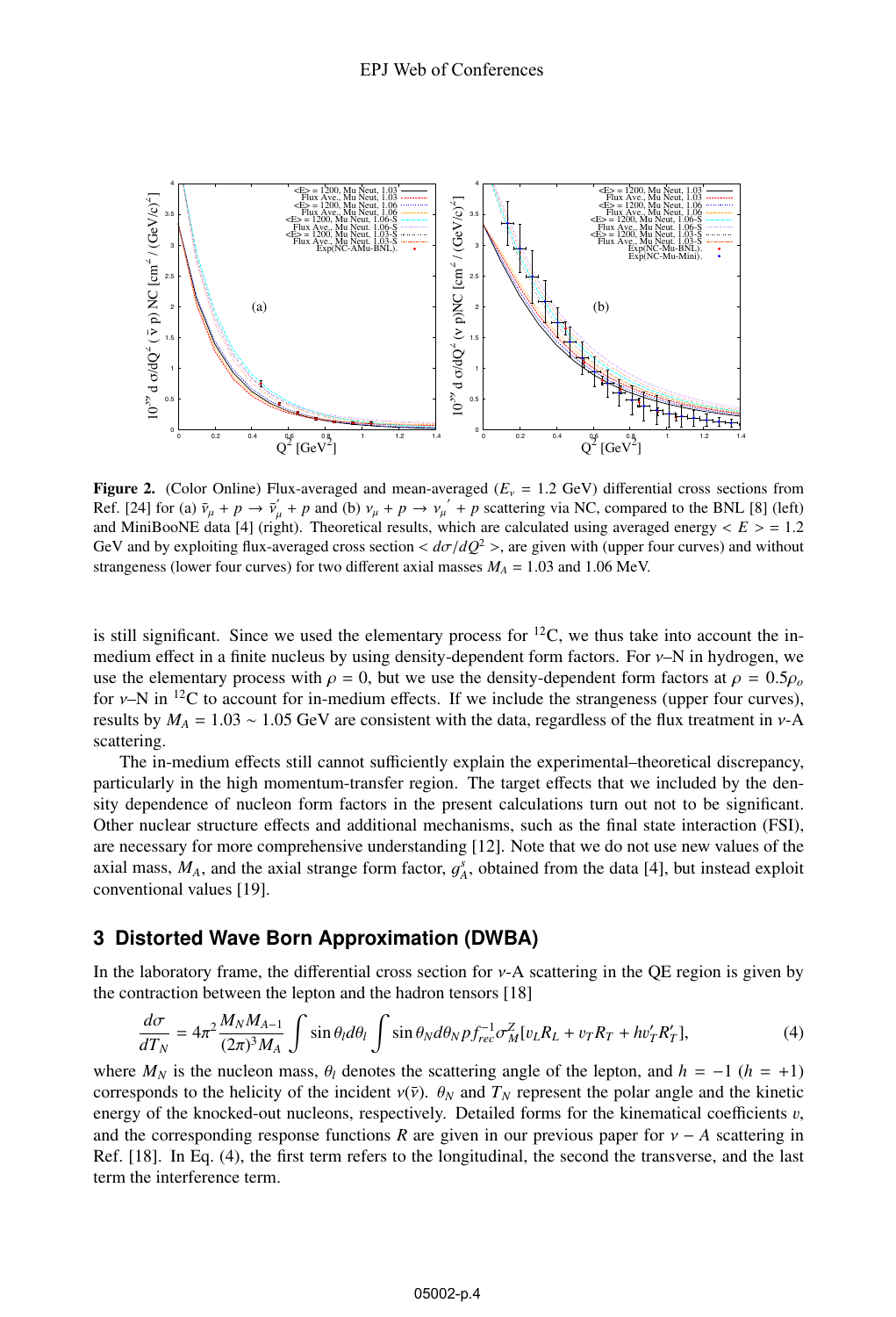

Figure 2. (Color Online) Flux-averaged and mean-averaged  $(E<sub>v</sub> = 1.2 \text{ GeV})$  differential cross sections from Ref. [24] for (a)  $\bar{v}_{\mu} + p \rightarrow \bar{v}_{\mu} + p$  and (b)  $v_{\mu} + p \rightarrow v_{\mu} + p$  scattering via NC, compared to the BNL [8] (left) and MiniBooNE data [4] (right). Theoretical results which are calculated using averaged energy  $\epsilon E \ge$ and MiniBooNE data [4] (right). Theoretical results, which are calculated using averaged energy  $\langle E \rangle = 1.2$ GeV and by exploiting flux-averaged cross section  $d\sigma/dQ^2$  >, are given with (upper four curves) and without strangeness (lower four curves) for two different axial masses  $M_A = 1.03$  and 1.06 MeV.

is still significant. Since we used the elementary process for  $^{12}C$ , we thus take into account the inmedium effect in a finite nucleus by using density-dependent form factors. For ν–N in hydrogen, we use the elementary process with  $\rho = 0$ , but we use the density-dependent form factors at  $\rho = 0.5\rho_o$ for  $\nu$ –N in <sup>12</sup>C to account for in-medium effects. If we include the strangeness (upper four curves), results by  $M_A = 1.03 \sim 1.05$  GeV are consistent with the data, regardless of the flux treatment in v-A scattering.

The in-medium effects still cannot sufficiently explain the experimental–theoretical discrepancy, particularly in the high momentum-transfer region. The target effects that we included by the density dependence of nucleon form factors in the present calculations turn out not to be significant. Other nuclear structure effects and additional mechanisms, such as the final state interaction (FSI), are necessary for more comprehensive understanding [12]. Note that we do not use new values of the axial mass,  $M_A$ , and the axial strange form factor,  $g_A^s$ , obtained from the data [4], but instead exploit conventional values [19] conventional values [19].

# **3 Distorted Wave Born Approximation (DWBA)**

In the laboratory frame, the differential cross section for ν-A scattering in the QE region is given by the contraction between the lepton and the hadron tensors [18]

$$
\frac{d\sigma}{dT_N} = 4\pi^2 \frac{M_N M_{A-1}}{(2\pi)^3 M_A} \int \sin \theta_l d\theta_l \int \sin \theta_N d\theta_N p f_{rec}^{-1} \sigma_M^Z [v_L R_L + v_T R_T + h v_T R_T'], \tag{4}
$$

where  $M_N$  is the nucleon mass,  $\theta_l$  denotes the scattering angle of the lepton, and  $h = -1$  ( $h = +1$ ) corresponds to the helicity of the incident  $v(\bar{v})$ .  $\theta_N$  and  $T_N$  represent the polar angle and the kinetic corresponds to the helicity of the incident  $v(\bar{v})$ .  $\theta_N$  and  $T_N$  represent the polar angle and the kinetic energy of the knocked-out nucleons, respectively. Detailed forms for the kinematical coefficients  $v$ , and the corresponding response functions *R* are given in our previous paper for  $v - A$  scattering in Ref. [18]. In Eq. (4), the first term refers to the longitudinal, the second the transverse, and the last term the interference term.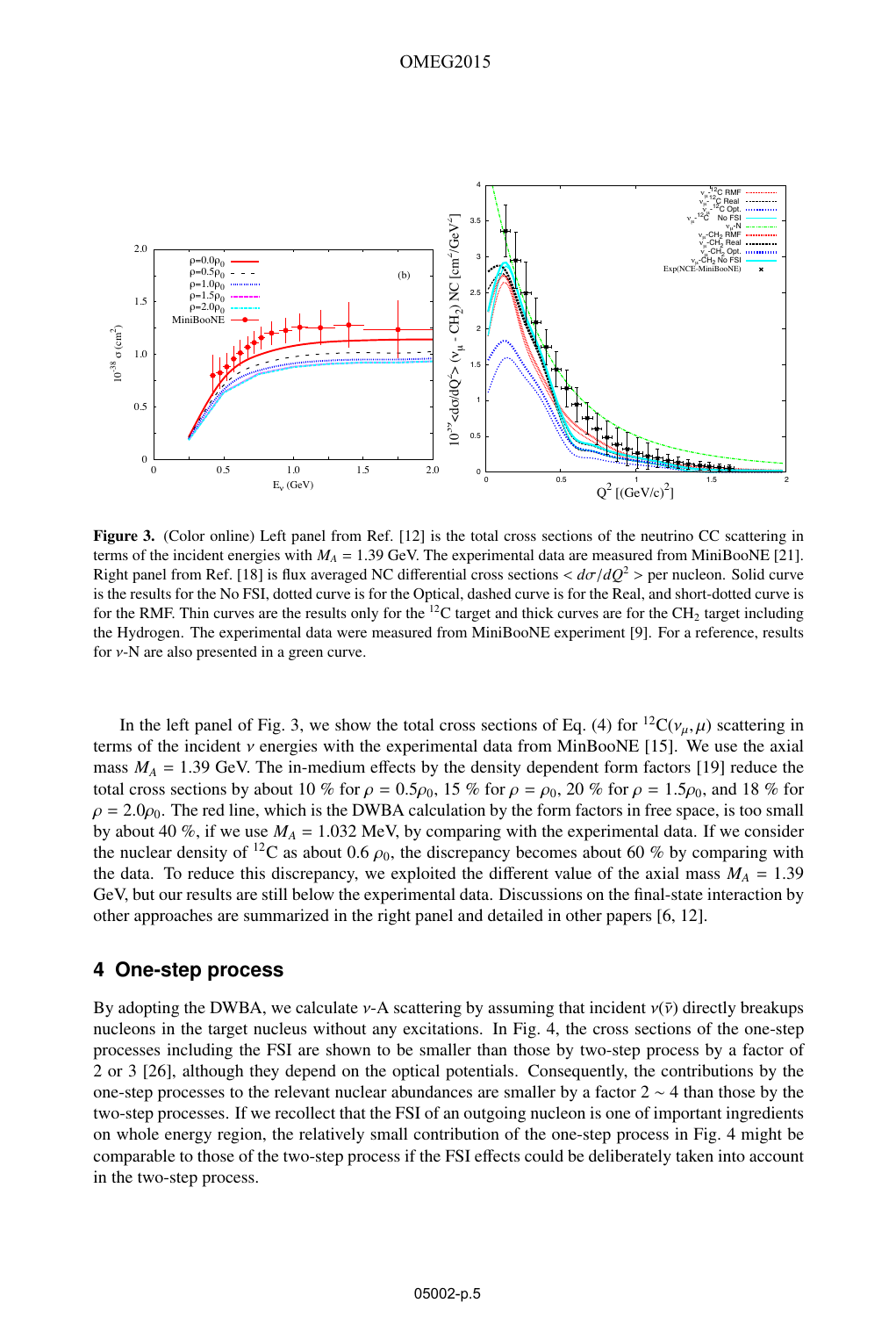

Figure 3. (Color online) Left panel from Ref. [12] is the total cross sections of the neutrino CC scattering in terms of the incident energies with  $M_A = 1.39$  GeV. The experimental data are measured from MiniBooNE [21]. Right panel from Ref. [18] is flux averaged NC differential cross sections <sup>&</sup>lt; *<sup>d</sup>*σ/*dQ*<sup>2</sup> <sup>&</sup>gt; per nucleon. Solid curve is the results for the No FSI, dotted curve is for the Optical, dashed curve is for the Real, and short-dotted curve is for the RMF. Thin curves are the results only for the  ${}^{12}C$  target and thick curves are for the CH<sub>2</sub> target including the Hydrogen. The experimental data were measured from MiniBooNE experiment [9]. For a reference, results for  $v$ -N are also presented in a green curve.

In the left panel of Fig. 3, we show the total cross sections of Eq. (4) for <sup>12</sup>C( $v_{\mu}, \mu$ ) scattering in terms of the incident ν energies with the experimental data from MinBooNE [15]. We use the axial mass  $M_A = 1.39$  GeV. The in-medium effects by the density dependent form factors [19] reduce the total cross sections by about 10 % for  $\rho = 0.5\rho_0$ , 15 % for  $\rho = \rho_0$ , 20 % for  $\rho = 1.5\rho_0$ , and 18 % for  $\rho = 2.0\rho_0$ . The red line, which is the DWBA calculation by the form factors in free space, is too small by about 40 %, if we use  $M_A = 1.032$  MeV, by comparing with the experimental data. If we consider the nuclear density of <sup>12</sup>C as about 0.6  $\rho_0$ , the discrepancy becomes about 60 % by comparing with the data. To reduce this discrepancy, we exploited the different value of the axial mass  $M_A = 1.39$ GeV, but our results are still below the experimental data. Discussions on the final-state interaction by other approaches are summarized in the right panel and detailed in other papers [6, 12].

### **4 One-step process**

By adopting the DWBA, we calculate  $v$ -A scattering by assuming that incident  $v(\bar{v})$  directly breakups nucleons in the target nucleus without any excitations. In Fig. 4, the cross sections of the one-step processes including the FSI are shown to be smaller than those by two-step process by a factor of 2 or 3 [26], although they depend on the optical potentials. Consequently, the contributions by the one-step processes to the relevant nuclear abundances are smaller by a factor 2 ∼ 4 than those by the two-step processes. If we recollect that the FSI of an outgoing nucleon is one of important ingredients on whole energy region, the relatively small contribution of the one-step process in Fig. 4 might be comparable to those of the two-step process if the FSI effects could be deliberately taken into account in the two-step process.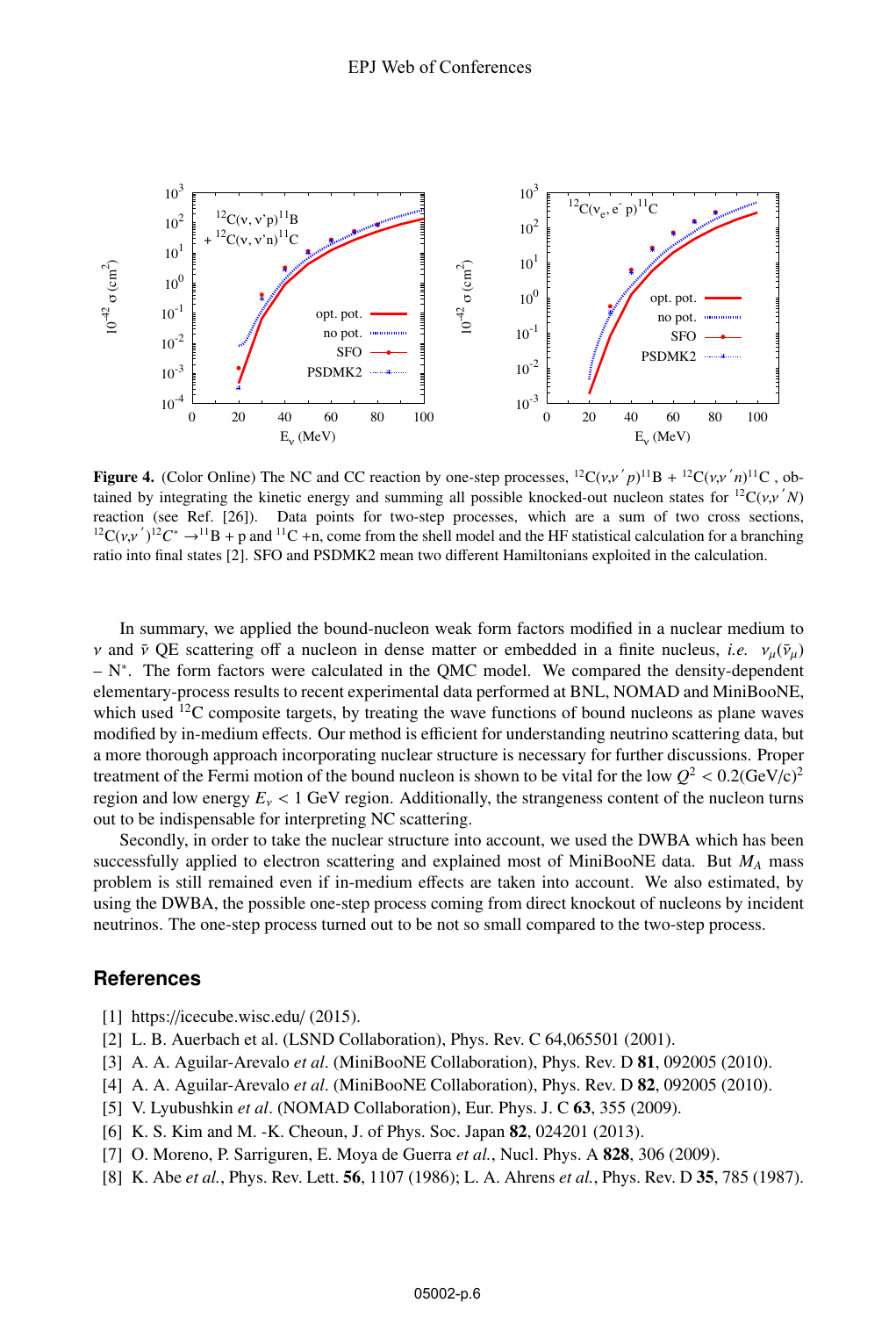

**Figure 4.** (Color Online) The NC and CC reaction by one-step processes,  ${}^{12}C(v, v'p)^{11}B + {}^{12}C(v, v'n)^{11}C$ , obtained by integrating the kinetic energy and summing all possible knocked-out pucked process for  ${}^{12}C(v, v'$ tained by integrating the kinetic energy and summing all possible knocked-out nucleon states for <sup>12</sup>C( $v, v' N$ )<br>reaction (see Ref. [26]). Data points for two-step processes, which are a sum of two cross sections reaction (see Ref. [26]). Data points for two-step processes, which are a sum of two cross sections, <sup>12</sup>C(v,v')<sup>12</sup>C<sup>\*</sup> →<sup>11</sup>B + p and <sup>11</sup>C +n, come from the shell model and the HF statistical calculation for a branching<br>ratio into final states [21] SEO and PSDMK2 mean two different Hamiltonians exploited in the calcul ratio into final states [2]. SFO and PSDMK2 mean two different Hamiltonians exploited in the calculation.

In summary, we applied the bound-nucleon weak form factors modified in a nuclear medium to  $ν$  and  $ν$  QE scattering off a nucleon in dense matter or embedded in a finite nucleus, *i.e.*  $ν<sub>u</sub>(ν<sub>u</sub>)$  $- N^*$ . The form factors were calculated in the QMC model. We compared the density-dependent elementary-process results to recent experimental data performed at BNL, NOMAD and MiniBooNE, which used  $^{12}$ C composite targets, by treating the wave functions of bound nucleons as plane waves modified by in-medium effects. Our method is efficient for understanding neutrino scattering data, but a more thorough approach incorporating nuclear structure is necessary for further discussions. Proper treatment of the Fermi motion of the bound nucleon is shown to be vital for the low  $Q^2 < 0.2$ (GeV/c)<sup>2</sup> region and low energy  $E_v < 1$  GeV region. Additionally, the strangeness content of the nucleon turns out to be indispensable for interpreting NC scattering.

Secondly, in order to take the nuclear structure into account, we used the DWBA which has been successfully applied to electron scattering and explained most of MiniBooNE data. But *MA* mass problem is still remained even if in-medium effects are taken into account. We also estimated, by using the DWBA, the possible one-step process coming from direct knockout of nucleons by incident neutrinos. The one-step process turned out to be not so small compared to the two-step process.

### **References**

- [1] https://icecube.wisc.edu/ (2015).
- [2] L. B. Auerbach et al. (LSND Collaboration), Phys. Rev. C 64,065501 (2001).
- [3] A. A. Aguilar-Arevalo *et al*. (MiniBooNE Collaboration), Phys. Rev. D 81, 092005 (2010).
- [4] A. A. Aguilar-Arevalo *et al*. (MiniBooNE Collaboration), Phys. Rev. D 82, 092005 (2010).
- [5] V. Lyubushkin *et al*. (NOMAD Collaboration), Eur. Phys. J. C 63, 355 (2009).
- [6] K. S. Kim and M. -K. Cheoun, J. of Phys. Soc. Japan **82**, 024201 (2013).
- [7] O. Moreno, P. Sarriguren, E. Moya de Guerra *et al.*, Nucl. Phys. A 828, 306 (2009).
- [8] K. Abe *et al.*, Phys. Rev. Lett. 56, 1107 (1986); L. A. Ahrens *et al.*, Phys. Rev. D 35, 785 (1987).